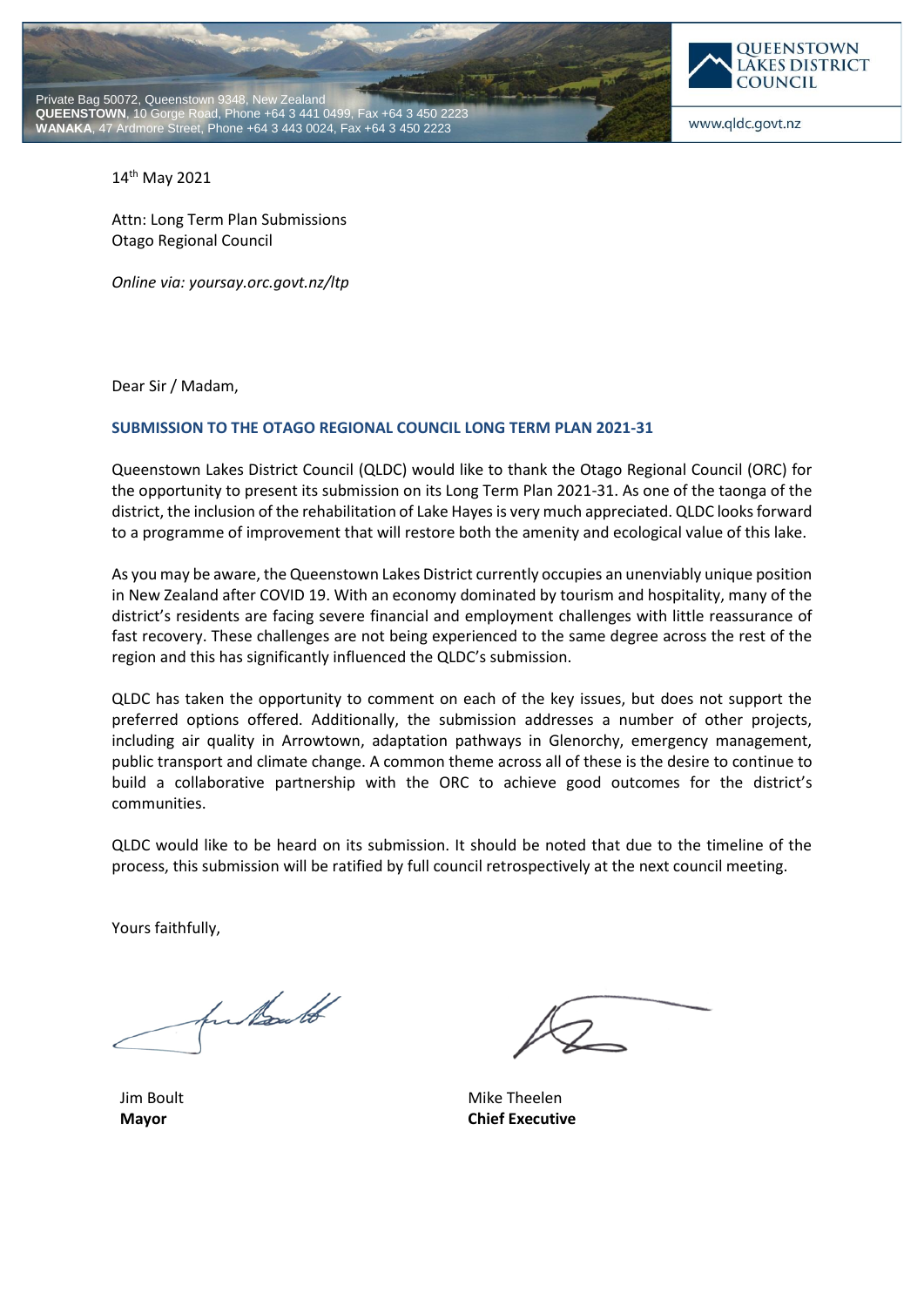



www.qldc.govt.nz

14th May 2021

Attn: Long Term Plan Submissions Otago Regional Council

*Online via: yoursay.orc.govt.nz/ltp*

Dear Sir / Madam,

### **SUBMISSION TO THE OTAGO REGIONAL COUNCIL LONG TERM PLAN 2021-31**

Queenstown Lakes District Council (QLDC) would like to thank the Otago Regional Council (ORC) for the opportunity to present its submission on its Long Term Plan 2021-31. As one of the taonga of the district, the inclusion of the rehabilitation of Lake Hayesis very much appreciated. QLDC looks forward to a programme of improvement that will restore both the amenity and ecological value of this lake.

As you may be aware, the Queenstown Lakes District currently occupies an unenviably unique position in New Zealand after COVID 19. With an economy dominated by tourism and hospitality, many of the district's residents are facing severe financial and employment challenges with little reassurance of fast recovery. These challenges are not being experienced to the same degree across the rest of the region and this has significantly influenced the QLDC's submission.

QLDC has taken the opportunity to comment on each of the key issues, but does not support the preferred options offered. Additionally, the submission addresses a number of other projects, including air quality in Arrowtown, adaptation pathways in Glenorchy, emergency management, public transport and climate change. A common theme across all of these is the desire to continue to build a collaborative partnership with the ORC to achieve good outcomes for the district's communities.

QLDC would like to be heard on its submission. It should be noted that due to the timeline of the process, this submission will be ratified by full council retrospectively at the next council meeting.

Yours faithfully,

fun tout

Jim Boult **Mayor**

Mike Theelen **Chief Executive**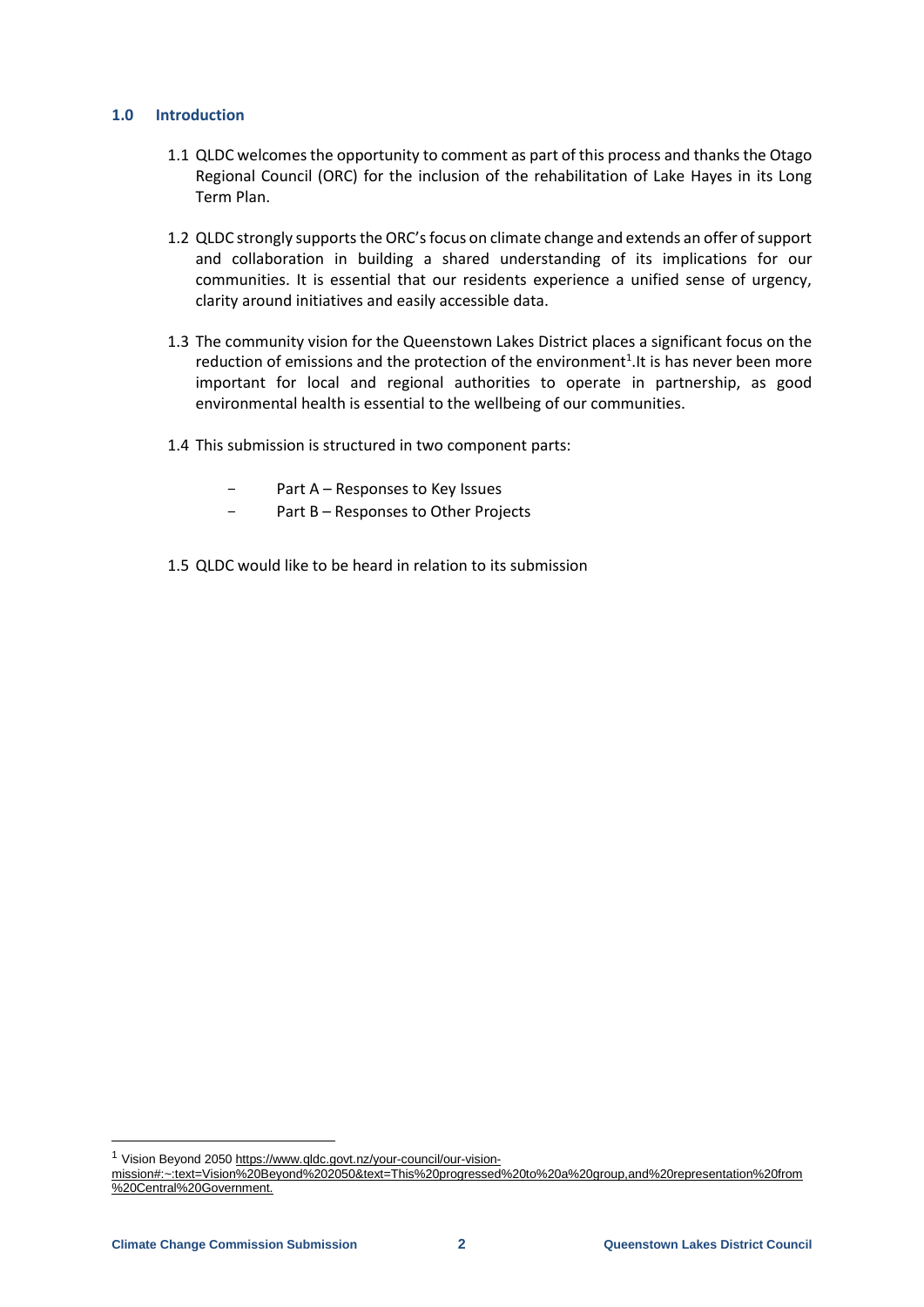## **1.0 Introduction**

- 1.1 QLDC welcomes the opportunity to comment as part of this process and thanks the Otago Regional Council (ORC) for the inclusion of the rehabilitation of Lake Hayes in its Long Term Plan.
- 1.2 QLDC strongly supports the ORC's focus on climate change and extends an offer of support and collaboration in building a shared understanding of its implications for our communities. It is essential that our residents experience a unified sense of urgency, clarity around initiatives and easily accessible data.
- 1.3 The community vision for the Queenstown Lakes District places a significant focus on the reduction of emissions and the protection of the environment<sup>1</sup>. It is has never been more important for local and regional authorities to operate in partnership, as good environmental health is essential to the wellbeing of our communities.
- 1.4 This submission is structured in two component parts:
	- Part A Responses to Key Issues
	- Part B Responses to Other Projects
- 1.5 QLDC would like to be heard in relation to its submission

-

<sup>&</sup>lt;sup>1</sup> Vision Beyond 2050 [https://www.qldc.govt.nz/your-council/our-vision-](https://www.qldc.govt.nz/your-council/our-vision-mission%23:~:text=Vision%20Beyond%202050&text=This%20progressed%20to%20a%20group,and%20representation%20from%20Central%20Government.)

[mission#:~:text=Vision%20Beyond%202050&text=This%20progressed%20to%20a%20group,and%20representation%20from](https://www.qldc.govt.nz/your-council/our-vision-mission%23:~:text=Vision%20Beyond%202050&text=This%20progressed%20to%20a%20group,and%20representation%20from%20Central%20Government.) [%20Central%20Government.](https://www.qldc.govt.nz/your-council/our-vision-mission%23:~:text=Vision%20Beyond%202050&text=This%20progressed%20to%20a%20group,and%20representation%20from%20Central%20Government.)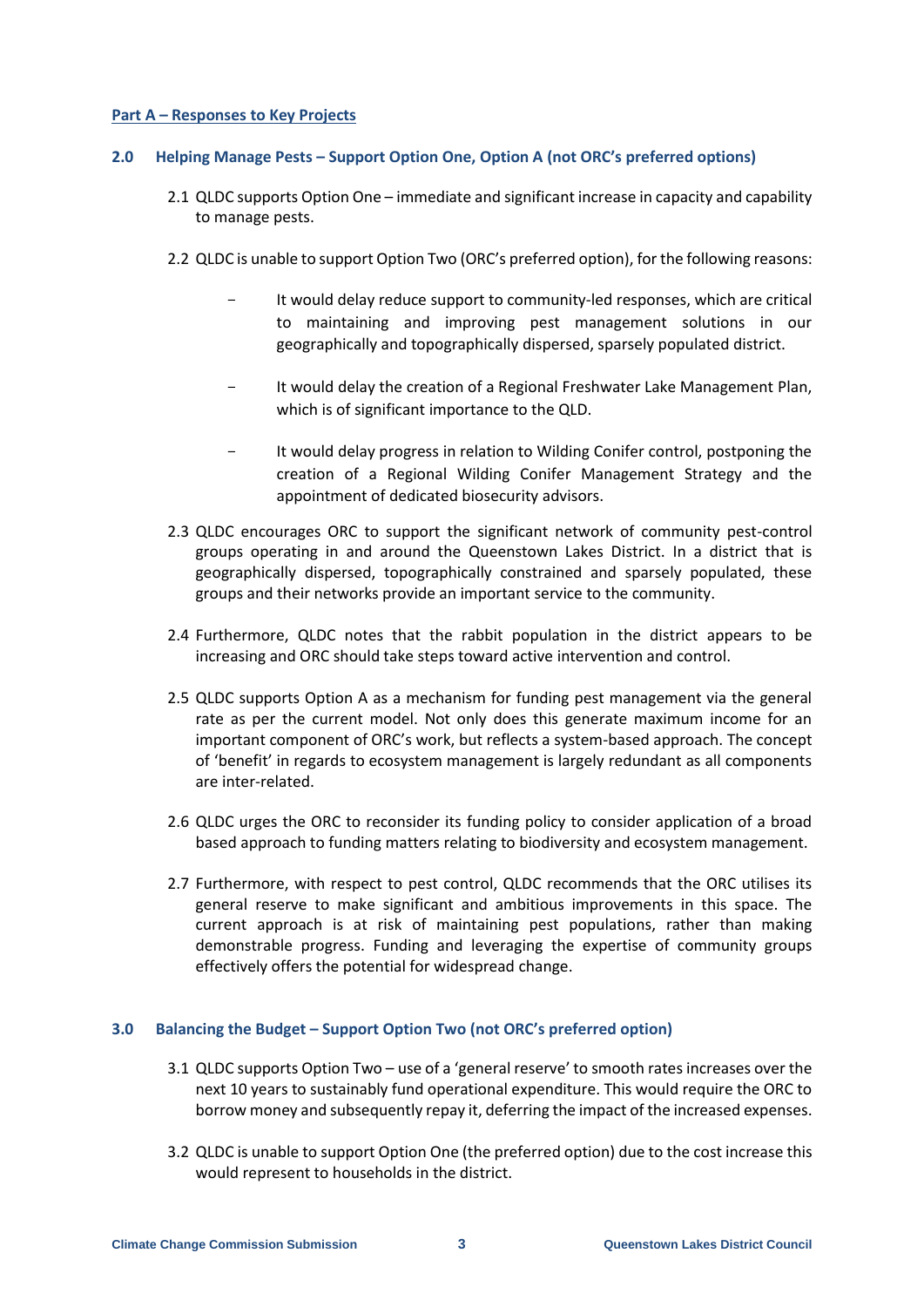## **Part A – Responses to Key Projects**

## **2.0 Helping Manage Pests – Support Option One, Option A (not ORC's preferred options)**

- 2.1 QLDC supports Option One immediate and significant increase in capacity and capability to manage pests.
- 2.2 QLDC is unable to support Option Two (ORC's preferred option), for the following reasons:
	- It would delay reduce support to community-led responses, which are critical to maintaining and improving pest management solutions in our geographically and topographically dispersed, sparsely populated district.
	- It would delay the creation of a Regional Freshwater Lake Management Plan, which is of significant importance to the QLD.
	- It would delay progress in relation to Wilding Conifer control, postponing the creation of a Regional Wilding Conifer Management Strategy and the appointment of dedicated biosecurity advisors.
- 2.3 QLDC encourages ORC to support the significant network of community pest-control groups operating in and around the Queenstown Lakes District. In a district that is geographically dispersed, topographically constrained and sparsely populated, these groups and their networks provide an important service to the community.
- 2.4 Furthermore, QLDC notes that the rabbit population in the district appears to be increasing and ORC should take steps toward active intervention and control.
- 2.5 QLDC supports Option A as a mechanism for funding pest management via the general rate as per the current model. Not only does this generate maximum income for an important component of ORC's work, but reflects a system-based approach. The concept of 'benefit' in regards to ecosystem management is largely redundant as all components are inter-related.
- 2.6 QLDC urges the ORC to reconsider its funding policy to consider application of a broad based approach to funding matters relating to biodiversity and ecosystem management.
- 2.7 Furthermore, with respect to pest control, QLDC recommends that the ORC utilises its general reserve to make significant and ambitious improvements in this space. The current approach is at risk of maintaining pest populations, rather than making demonstrable progress. Funding and leveraging the expertise of community groups effectively offers the potential for widespread change.

### **3.0 Balancing the Budget – Support Option Two (not ORC's preferred option)**

- 3.1 QLDC supports Option Two use of a 'general reserve' to smooth rates increases over the next 10 years to sustainably fund operational expenditure. This would require the ORC to borrow money and subsequently repay it, deferring the impact of the increased expenses.
- 3.2 QLDC is unable to support Option One (the preferred option) due to the cost increase this would represent to households in the district.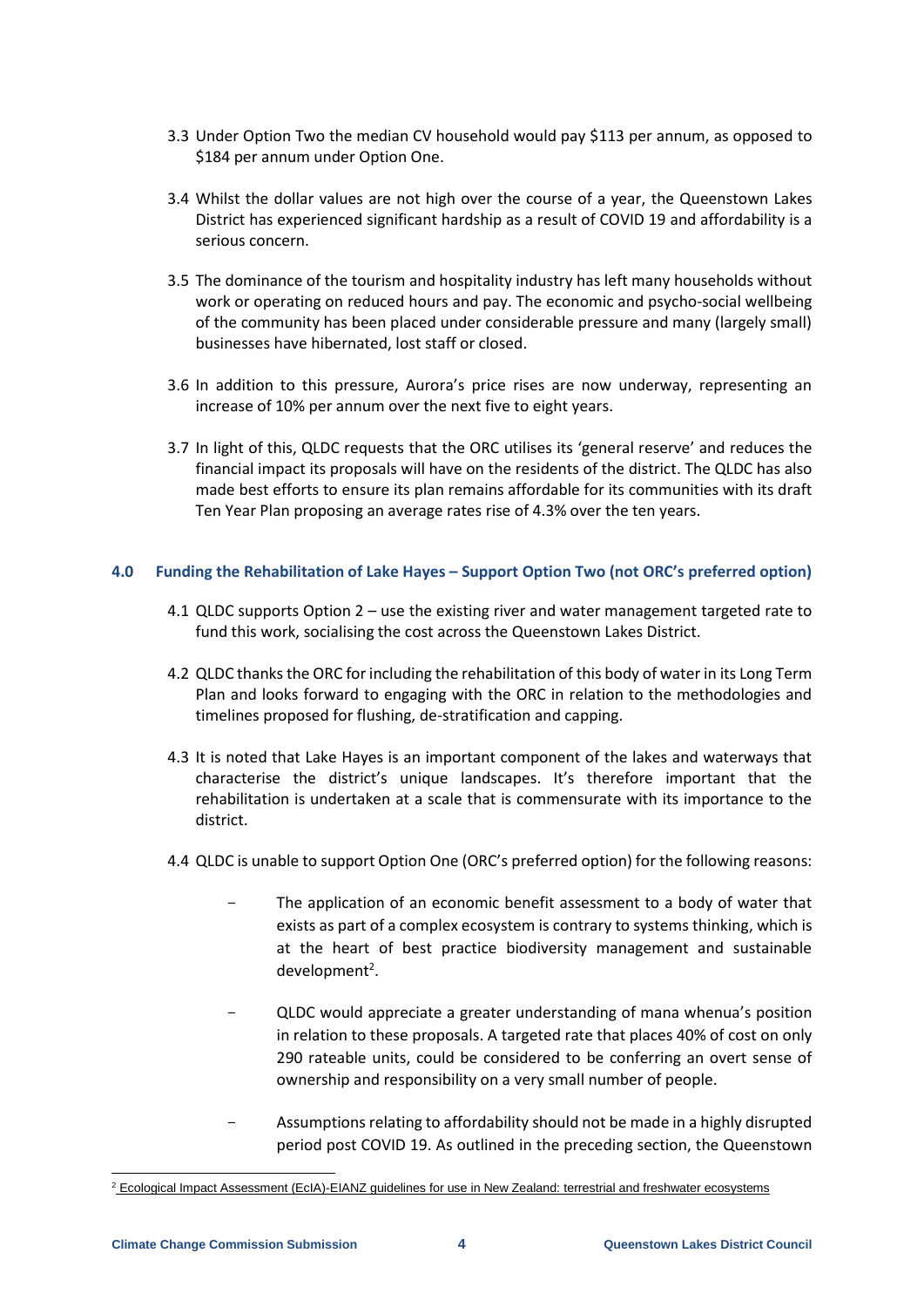- 3.3 Under Option Two the median CV household would pay \$113 per annum, as opposed to \$184 per annum under Option One.
- 3.4 Whilst the dollar values are not high over the course of a year, the Queenstown Lakes District has experienced significant hardship as a result of COVID 19 and affordability is a serious concern.
- 3.5 The dominance of the tourism and hospitality industry has left many households without work or operating on reduced hours and pay. The economic and psycho-social wellbeing of the community has been placed under considerable pressure and many (largely small) businesses have hibernated, lost staff or closed.
- 3.6 In addition to this pressure, Aurora's price rises are now underway, representing an increase of 10% per annum over the next five to eight years.
- 3.7 In light of this, QLDC requests that the ORC utilises its 'general reserve' and reduces the financial impact its proposals will have on the residents of the district. The QLDC has also made best efforts to ensure its plan remains affordable for its communities with its draft Ten Year Plan proposing an average rates rise of 4.3% over the ten years.

# **4.0 Funding the Rehabilitation of Lake Hayes – Support Option Two (not ORC's preferred option)**

- 4.1 QLDC supports Option 2 use the existing river and water management targeted rate to fund this work, socialising the cost across the Queenstown Lakes District.
- 4.2 QLDC thanks the ORC for including the rehabilitation of this body of water in its Long Term Plan and looks forward to engaging with the ORC in relation to the methodologies and timelines proposed for flushing, de-stratification and capping.
- 4.3 It is noted that Lake Hayes is an important component of the lakes and waterways that characterise the district's unique landscapes. It's therefore important that the rehabilitation is undertaken at a scale that is commensurate with its importance to the district.
- 4.4 QLDC is unable to support Option One (ORC's preferred option) for the following reasons:
	- The application of an economic benefit assessment to a body of water that exists as part of a complex ecosystem is contrary to systems thinking, which is at the heart of best practice biodiversity management and sustainable development<sup>2</sup>.
	- QLDC would appreciate a greater understanding of mana whenua's position in relation to these proposals. A targeted rate that places 40% of cost on only 290 rateable units, could be considered to be conferring an overt sense of ownership and responsibility on a very small number of people.
	- Assumptions relating to affordability should not be made in a highly disrupted period post COVID 19. As outlined in the preceding section, the Queenstown

-

<sup>&</sup>lt;sup>2</sup> [Ecological Impact Assessment \(EcIA\)-EIANZ guidelines for use in New Zealand: terrestrial and freshwater ecosystems](https://www.eianz.org/document/item/4447)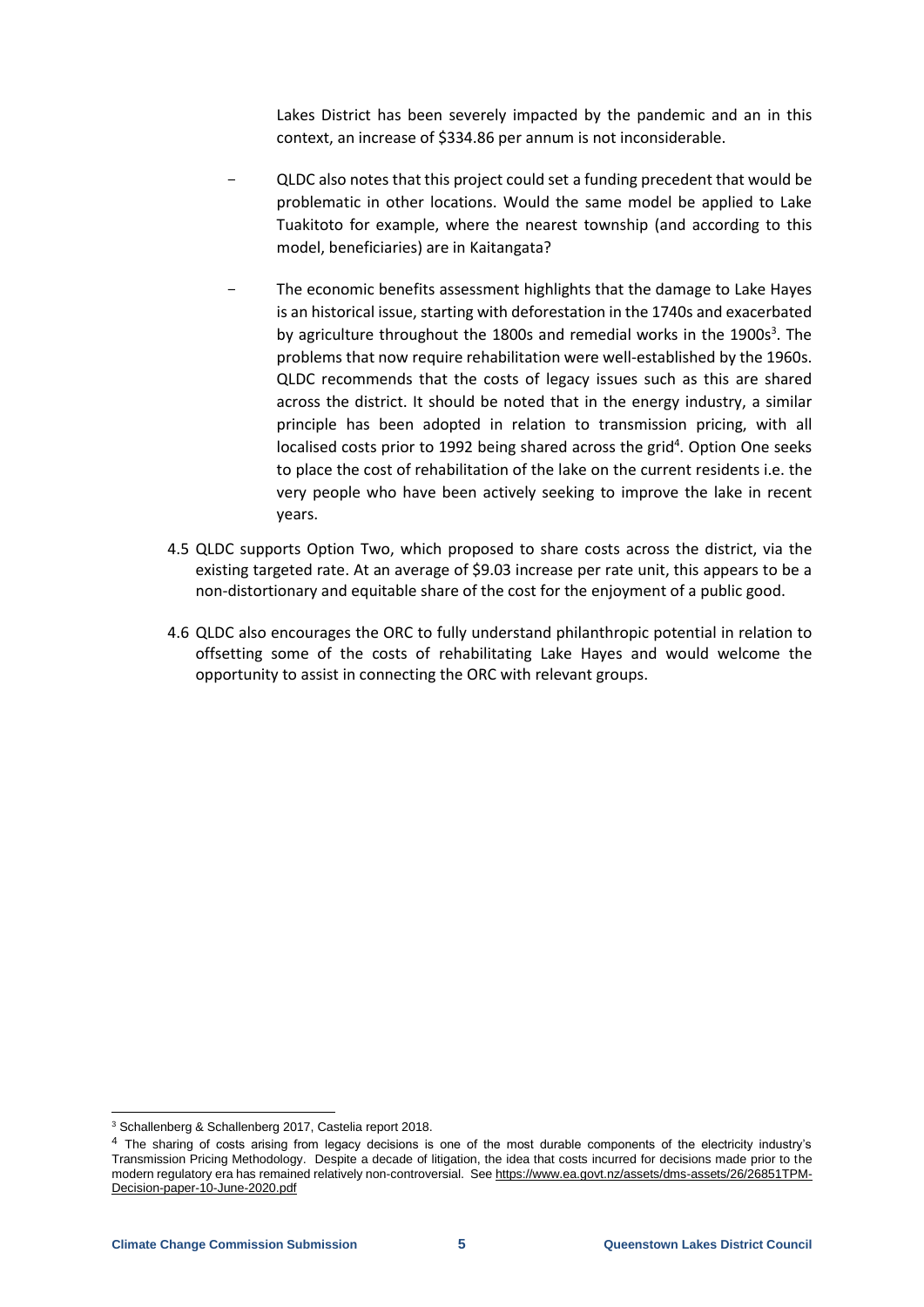Lakes District has been severely impacted by the pandemic and an in this context, an increase of \$334.86 per annum is not inconsiderable.

- QLDC also notes that this project could set a funding precedent that would be problematic in other locations. Would the same model be applied to Lake Tuakitoto for example, where the nearest township (and according to this model, beneficiaries) are in Kaitangata?
- The economic benefits assessment highlights that the damage to Lake Hayes is an historical issue, starting with deforestation in the 1740s and exacerbated by agriculture throughout the 1800s and remedial works in the 1900s<sup>3</sup>. The problems that now require rehabilitation were well-established by the 1960s. QLDC recommends that the costs of legacy issues such as this are shared across the district. It should be noted that in the energy industry, a similar principle has been adopted in relation to transmission pricing, with all localised costs prior to 1992 being shared across the grid<sup>4</sup>. Option One seeks to place the cost of rehabilitation of the lake on the current residents i.e. the very people who have been actively seeking to improve the lake in recent years.
- 4.5 QLDC supports Option Two, which proposed to share costs across the district, via the existing targeted rate. At an average of \$9.03 increase per rate unit, this appears to be a non-distortionary and equitable share of the cost for the enjoyment of a public good.
- 4.6 QLDC also encourages the ORC to fully understand philanthropic potential in relation to offsetting some of the costs of rehabilitating Lake Hayes and would welcome the opportunity to assist in connecting the ORC with relevant groups.

-

<sup>3</sup> Schallenberg & Schallenberg 2017, Castelia report 2018.

<sup>&</sup>lt;sup>4</sup> The sharing of costs arising from legacy decisions is one of the most durable components of the electricity industry's Transmission Pricing Methodology. Despite a decade of litigation, the idea that costs incurred for decisions made prior to the modern regulatory era has remained relatively non-controversial. Se[e https://www.ea.govt.nz/assets/dms-assets/26/26851TPM-](https://www.ea.govt.nz/assets/dms-assets/26/26851TPM-Decision-paper-10-June-2020.pdf)[Decision-paper-10-June-2020.pdf](https://www.ea.govt.nz/assets/dms-assets/26/26851TPM-Decision-paper-10-June-2020.pdf)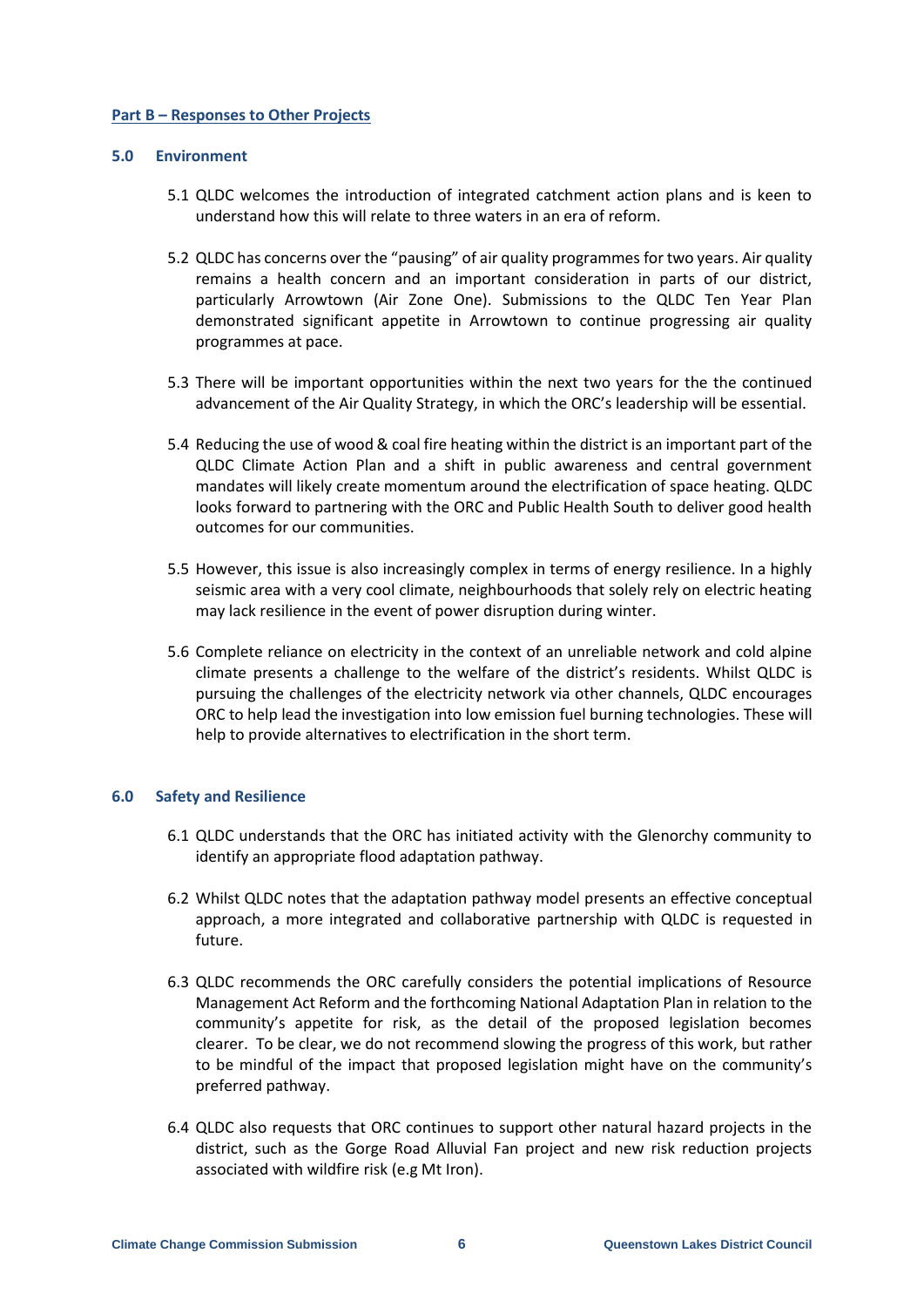## **Part B – Responses to Other Projects**

### **5.0 Environment**

- 5.1 QLDC welcomes the introduction of integrated catchment action plans and is keen to understand how this will relate to three waters in an era of reform.
- 5.2 QLDC has concerns over the "pausing" of air quality programmes for two years. Air quality remains a health concern and an important consideration in parts of our district, particularly Arrowtown (Air Zone One). Submissions to the QLDC Ten Year Plan demonstrated significant appetite in Arrowtown to continue progressing air quality programmes at pace.
- 5.3 There will be important opportunities within the next two years for the the continued advancement of the Air Quality Strategy, in which the ORC's leadership will be essential.
- 5.4 Reducing the use of wood & coal fire heating within the district is an important part of the QLDC Climate Action Plan and a shift in public awareness and central government mandates will likely create momentum around the electrification of space heating. QLDC looks forward to partnering with the ORC and Public Health South to deliver good health outcomes for our communities.
- 5.5 However, this issue is also increasingly complex in terms of energy resilience. In a highly seismic area with a very cool climate, neighbourhoods that solely rely on electric heating may lack resilience in the event of power disruption during winter.
- 5.6 Complete reliance on electricity in the context of an unreliable network and cold alpine climate presents a challenge to the welfare of the district's residents. Whilst QLDC is pursuing the challenges of the electricity network via other channels, QLDC encourages ORC to help lead the investigation into low emission fuel burning technologies. These will help to provide alternatives to electrification in the short term.

### **6.0 Safety and Resilience**

- 6.1 QLDC understands that the ORC has initiated activity with the Glenorchy community to identify an appropriate flood adaptation pathway.
- 6.2 Whilst QLDC notes that the adaptation pathway model presents an effective conceptual approach, a more integrated and collaborative partnership with QLDC is requested in future.
- 6.3 QLDC recommends the ORC carefully considers the potential implications of Resource Management Act Reform and the forthcoming National Adaptation Plan in relation to the community's appetite for risk, as the detail of the proposed legislation becomes clearer. To be clear, we do not recommend slowing the progress of this work, but rather to be mindful of the impact that proposed legislation might have on the community's preferred pathway.
- 6.4 QLDC also requests that ORC continues to support other natural hazard projects in the district, such as the Gorge Road Alluvial Fan project and new risk reduction projects associated with wildfire risk (e.g Mt Iron).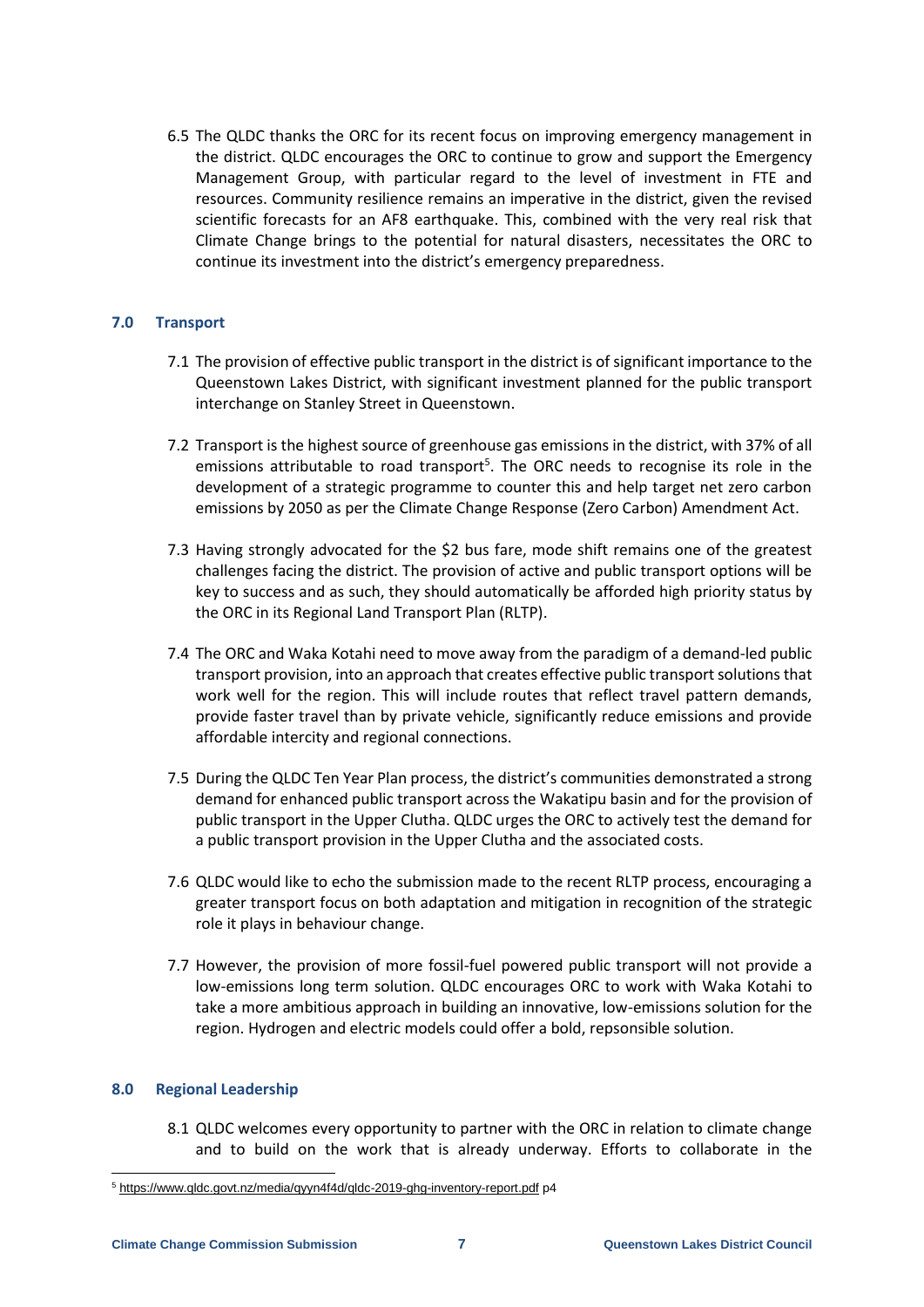6.5 The QLDC thanks the ORC for its recent focus on improving emergency management in the district. QLDC encourages the ORC to continue to grow and support the Emergency Management Group, with particular regard to the level of investment in FTE and resources. Community resilience remains an imperative in the district, given the revised scientific forecasts for an AF8 earthquake. This, combined with the very real risk that Climate Change brings to the potential for natural disasters, necessitates the ORC to continue its investment into the district's emergency preparedness.

# **7.0 Transport**

- 7.1 The provision of effective public transport in the district is of significant importance to the Queenstown Lakes District, with significant investment planned for the public transport interchange on Stanley Street in Queenstown.
- 7.2 Transport is the highest source of greenhouse gas emissions in the district, with 37% of all emissions attributable to road transport<sup>5</sup>. The ORC needs to recognise its role in the development of a strategic programme to counter this and help target net zero carbon emissions by 2050 as per the Climate Change Response (Zero Carbon) Amendment Act.
- 7.3 Having strongly advocated for the \$2 bus fare, mode shift remains one of the greatest challenges facing the district. The provision of active and public transport options will be key to success and as such, they should automatically be afforded high priority status by the ORC in its Regional Land Transport Plan (RLTP).
- 7.4 The ORC and Waka Kotahi need to move away from the paradigm of a demand-led public transport provision, into an approach that creates effective public transport solutions that work well for the region. This will include routes that reflect travel pattern demands, provide faster travel than by private vehicle, significantly reduce emissions and provide affordable intercity and regional connections.
- 7.5 During the QLDC Ten Year Plan process, the district's communities demonstrated a strong demand for enhanced public transport across the Wakatipu basin and for the provision of public transport in the Upper Clutha. QLDC urges the ORC to actively test the demand for a public transport provision in the Upper Clutha and the associated costs.
- 7.6 QLDC would like to echo the submission made to the recent RLTP process, encouraging a greater transport focus on both adaptation and mitigation in recognition of the strategic role it plays in behaviour change.
- 7.7 However, the provision of more fossil-fuel powered public transport will not provide a low-emissions long term solution. QLDC encourages ORC to work with Waka Kotahi to take a more ambitious approach in building an innovative, low-emissions solution for the region. Hydrogen and electric models could offer a bold, repsonsible solution.

# **8.0 Regional Leadership**

-

8.1 QLDC welcomes every opportunity to partner with the ORC in relation to climate change and to build on the work that is already underway. Efforts to collaborate in the

<sup>5</sup> <https://www.qldc.govt.nz/media/qyyn4f4d/qldc-2019-ghg-inventory-report.pdf> p4